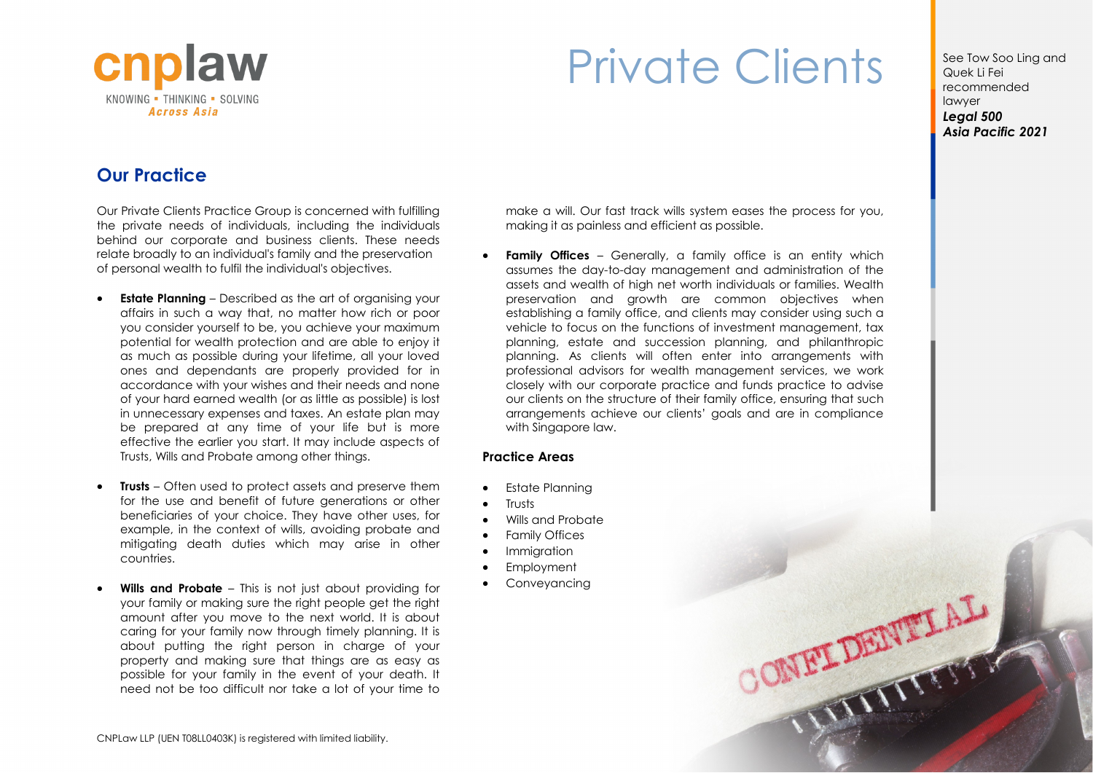

## Private Clients See Tow Soo Ling and

Quek Li Fei recommended lawyer *Legal 500 Asia Pacific 2021*

**ONFEITERED** 

## **Our Practice**

Our Private Clients Practice Group is concerned with fulfilling the private needs of individuals, including the individuals behind our corporate and business clients. These needs relate broadly to an individual's family and the preservation of personal wealth to fulfil the individual's objectives.

- **Estate Planning** Described as the art of organising your affairs in such a way that, no matter how rich or poor you consider yourself to be, you achieve your maximum potential for wealth protection and are able to enjoy it as much as possible during your lifetime, all your loved ones and dependants are properly provided for in accordance with your wishes and their needs and none of your hard earned wealth (or as little as possible) is lost in unnecessary expenses and taxes. An estate plan may be prepared at any time of your life but is more effective the earlier you start. It may include aspects of Trusts, Wills and Probate among other things.
- **Trusts** Often used to protect assets and preserve them for the use and benefit of future generations or other beneficiaries of your choice. They have other uses, for example, in the context of wills, avoiding probate and mitigating death duties which may arise in other countries.
- **Wills and Probate**  This is not just about providing for your family or making sure the right people get the right amount after you move to the next world. It is about caring for your family now through timely planning. It is about putting the right person in charge of your property and making sure that things are as easy as possible for your family in the event of your death. It need not be too difficult nor take a lot of your time to

make a will. Our fast track wills system eases the process for you, making it as painless and efficient as possible.

**Family Offices** – Generally, a family office is an entity which assumes the day-to-day management and administration of the assets and wealth of high net worth individuals or families. Wealth preservation and growth are common objectives when establishing a family office, and clients may consider using such a vehicle to focus on the functions of investment management, tax planning, estate and succession planning, and philanthropic planning. As clients will often enter into arrangements with professional advisors for wealth management services, we work closely with our corporate practice and funds practice to advise our clients on the structure of their family office, ensuring that such arrangements achieve our clients' goals and are in compliance with Singapore law.

## **Practice Areas**

- Estate Planning
- **Trusts**
- Wills and Probate
- Family Offices
- Immigration
- Employment
- Conveyancing